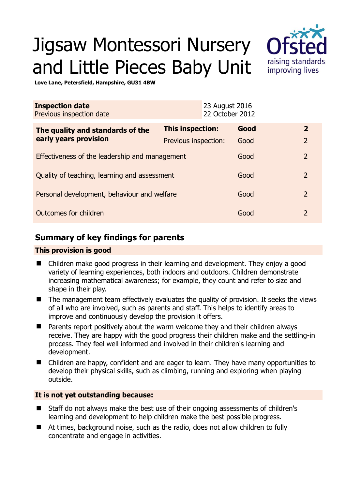# Jigsaw Montessori Nursery and Little Pieces Baby Unit



**Love Lane, Petersfield, Hampshire, GU31 4BW** 

| <b>Inspection date</b><br>Previous inspection date        | 23 August 2016          | 22 October 2012 |                |
|-----------------------------------------------------------|-------------------------|-----------------|----------------|
| The quality and standards of the<br>early years provision | <b>This inspection:</b> | Good            | $\mathbf{2}$   |
|                                                           | Previous inspection:    | Good            | $\overline{2}$ |
| Effectiveness of the leadership and management            |                         | Good            | $\overline{2}$ |
| Quality of teaching, learning and assessment              |                         | Good            | $\overline{2}$ |
| Personal development, behaviour and welfare               |                         | Good            | $\overline{2}$ |
| Outcomes for children                                     |                         | Good            | $\mathcal{P}$  |

# **Summary of key findings for parents**

## **This provision is good**

- Children make good progress in their learning and development. They enjoy a good variety of learning experiences, both indoors and outdoors. Children demonstrate increasing mathematical awareness; for example, they count and refer to size and shape in their play.
- The management team effectively evaluates the quality of provision. It seeks the views of all who are involved, such as parents and staff. This helps to identify areas to improve and continuously develop the provision it offers.
- Parents report positively about the warm welcome they and their children always receive. They are happy with the good progress their children make and the settling-in process. They feel well informed and involved in their children's learning and development.
- Children are happy, confident and are eager to learn. They have many opportunities to develop their physical skills, such as climbing, running and exploring when playing outside.

## **It is not yet outstanding because:**

- Staff do not always make the best use of their ongoing assessments of children's learning and development to help children make the best possible progress.
- At times, background noise, such as the radio, does not allow children to fully concentrate and engage in activities.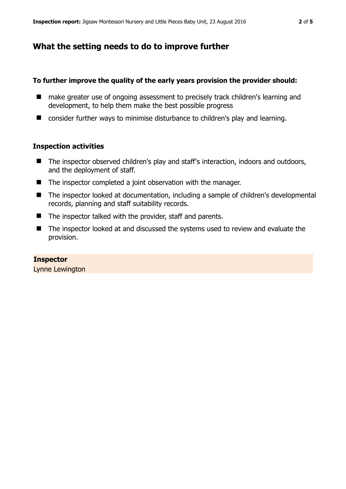# **What the setting needs to do to improve further**

#### **To further improve the quality of the early years provision the provider should:**

- make greater use of ongoing assessment to precisely track children's learning and development, to help them make the best possible progress
- consider further ways to minimise disturbance to children's play and learning.

#### **Inspection activities**

- The inspector observed children's play and staff's interaction, indoors and outdoors, and the deployment of staff.
- The inspector completed a joint observation with the manager.
- The inspector looked at documentation, including a sample of children's developmental records, planning and staff suitability records.
- $\blacksquare$  The inspector talked with the provider, staff and parents.
- The inspector looked at and discussed the systems used to review and evaluate the provision.

#### **Inspector**

Lynne Lewington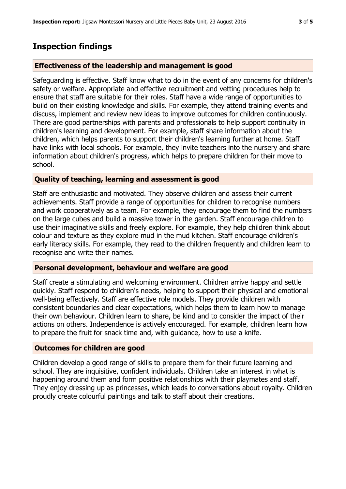# **Inspection findings**

## **Effectiveness of the leadership and management is good**

Safeguarding is effective. Staff know what to do in the event of any concerns for children's safety or welfare. Appropriate and effective recruitment and vetting procedures help to ensure that staff are suitable for their roles. Staff have a wide range of opportunities to build on their existing knowledge and skills. For example, they attend training events and discuss, implement and review new ideas to improve outcomes for children continuously. There are good partnerships with parents and professionals to help support continuity in children's learning and development. For example, staff share information about the children, which helps parents to support their children's learning further at home. Staff have links with local schools. For example, they invite teachers into the nursery and share information about children's progress, which helps to prepare children for their move to school.

## **Quality of teaching, learning and assessment is good**

Staff are enthusiastic and motivated. They observe children and assess their current achievements. Staff provide a range of opportunities for children to recognise numbers and work cooperatively as a team. For example, they encourage them to find the numbers on the large cubes and build a massive tower in the garden. Staff encourage children to use their imaginative skills and freely explore. For example, they help children think about colour and texture as they explore mud in the mud kitchen. Staff encourage children's early literacy skills. For example, they read to the children frequently and children learn to recognise and write their names.

## **Personal development, behaviour and welfare are good**

Staff create a stimulating and welcoming environment. Children arrive happy and settle quickly. Staff respond to children's needs, helping to support their physical and emotional well-being effectively. Staff are effective role models. They provide children with consistent boundaries and clear expectations, which helps them to learn how to manage their own behaviour. Children learn to share, be kind and to consider the impact of their actions on others. Independence is actively encouraged. For example, children learn how to prepare the fruit for snack time and, with guidance, how to use a knife.

# **Outcomes for children are good**

Children develop a good range of skills to prepare them for their future learning and school. They are inquisitive, confident individuals. Children take an interest in what is happening around them and form positive relationships with their playmates and staff. They enjoy dressing up as princesses, which leads to conversations about royalty. Children proudly create colourful paintings and talk to staff about their creations.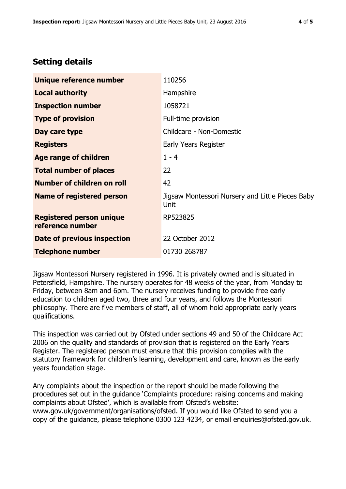# **Setting details**

| Unique reference number                             | 110256                                                   |  |
|-----------------------------------------------------|----------------------------------------------------------|--|
| <b>Local authority</b>                              | Hampshire                                                |  |
| <b>Inspection number</b>                            | 1058721                                                  |  |
| <b>Type of provision</b>                            | Full-time provision                                      |  |
| Day care type                                       | Childcare - Non-Domestic                                 |  |
| <b>Registers</b>                                    | Early Years Register                                     |  |
| <b>Age range of children</b>                        | $1 - 4$                                                  |  |
| <b>Total number of places</b>                       | 22                                                       |  |
| Number of children on roll                          | 42                                                       |  |
| Name of registered person                           | Jigsaw Montessori Nursery and Little Pieces Baby<br>Unit |  |
| <b>Registered person unique</b><br>reference number | RP523825                                                 |  |
| Date of previous inspection                         | 22 October 2012                                          |  |
| <b>Telephone number</b>                             | 01730 268787                                             |  |

Jigsaw Montessori Nursery registered in 1996. It is privately owned and is situated in Petersfield, Hampshire. The nursery operates for 48 weeks of the year, from Monday to Friday, between 8am and 6pm. The nursery receives funding to provide free early education to children aged two, three and four years, and follows the Montessori philosophy. There are five members of staff, all of whom hold appropriate early years qualifications.

This inspection was carried out by Ofsted under sections 49 and 50 of the Childcare Act 2006 on the quality and standards of provision that is registered on the Early Years Register. The registered person must ensure that this provision complies with the statutory framework for children's learning, development and care, known as the early years foundation stage.

Any complaints about the inspection or the report should be made following the procedures set out in the guidance 'Complaints procedure: raising concerns and making complaints about Ofsted', which is available from Ofsted's website: www.gov.uk/government/organisations/ofsted. If you would like Ofsted to send you a copy of the guidance, please telephone 0300 123 4234, or email enquiries@ofsted.gov.uk.